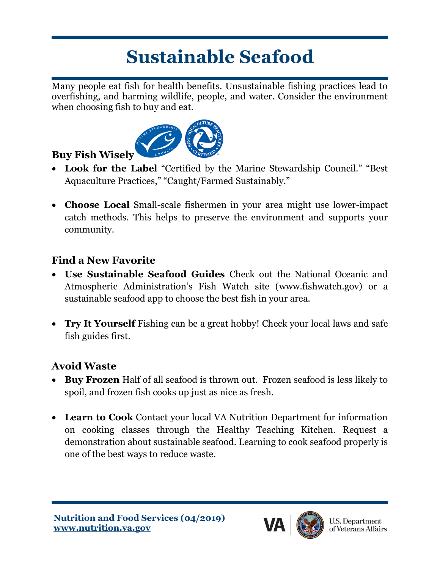# **Sustainable Seafood**

Many people eat fish for health benefits. Unsustainable fishing practices lead to overfishing, and harming wildlife, people, and water. Consider the environment when choosing fish to buy and eat.



# **Buy Fish Wisely**

- **Look for the Label** "Certified by the Marine Stewardship Council." "Best Aquaculture Practices," "Caught/Farmed Sustainably."
- **Choose Local** Small-scale fishermen in your area might use lower-impact catch methods. This helps to preserve the environment and supports your community.

# **Find a New Favorite**

- **Use Sustainable Seafood Guides** Check out the National Oceanic and Atmospheric Administration's Fish Watch site (www.fishwatch.gov) or a sustainable seafood app to choose the best fish in your area.
- **Try It Yourself** Fishing can be a great hobby! Check your local laws and safe fish guides first.

### **Avoid Waste**

- **Buy Frozen** Half of all seafood is thrown out. Frozen seafood is less likely to spoil, and frozen fish cooks up just as nice as fresh.
- **Learn to Cook** Contact your local VA Nutrition Department for information on cooking classes through the Healthy Teaching Kitchen. Request a demonstration about sustainable seafood. Learning to cook seafood properly is one of the best ways to reduce waste.